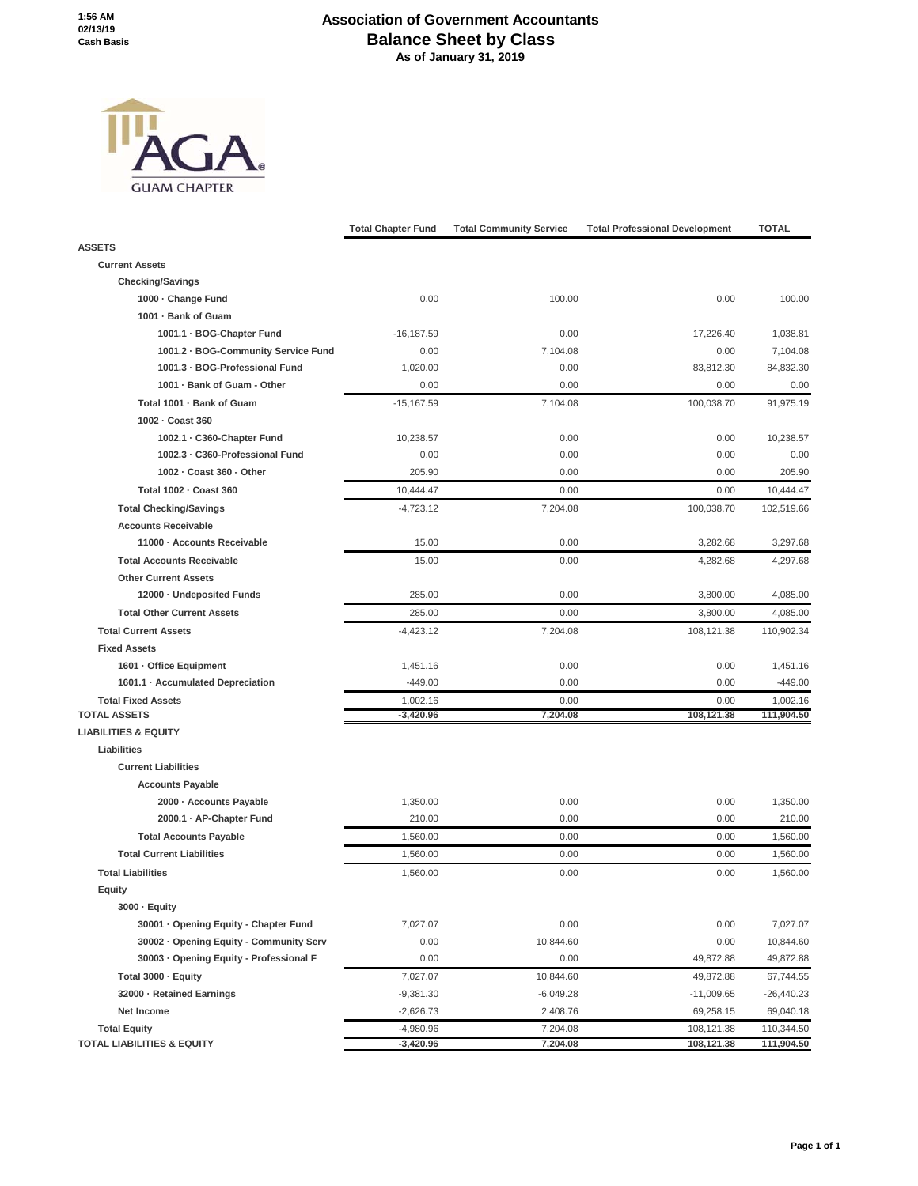## **Association of Government Accountants Balance Sheet by Class As of January 31, 2019**



|                                         | <b>Total Chapter Fund</b> | <b>Total Community Service</b> | <b>Total Professional Development</b> | <b>TOTAL</b> |
|-----------------------------------------|---------------------------|--------------------------------|---------------------------------------|--------------|
| <b>ASSETS</b>                           |                           |                                |                                       |              |
| <b>Current Assets</b>                   |                           |                                |                                       |              |
| <b>Checking/Savings</b>                 |                           |                                |                                       |              |
| 1000 - Change Fund                      | 0.00                      | 100.00                         | 0.00                                  | 100.00       |
| 1001 - Bank of Guam                     |                           |                                |                                       |              |
| 1001.1 · BOG-Chapter Fund               | $-16,187.59$              | 0.00                           | 17,226.40                             | 1,038.81     |
| 1001.2 · BOG-Community Service Fund     | 0.00                      | 7,104.08                       | 0.00                                  | 7,104.08     |
| 1001.3 - BOG-Professional Fund          | 1,020.00                  | 0.00                           | 83,812.30                             | 84,832.30    |
| 1001 · Bank of Guam - Other             | 0.00                      | 0.00                           | 0.00                                  | 0.00         |
| Total 1001 · Bank of Guam               | $-15,167.59$              | 7,104.08                       | 100,038.70                            | 91,975.19    |
| 1002 - Coast 360                        |                           |                                |                                       |              |
| 1002.1 · C360-Chapter Fund              | 10,238.57                 | 0.00                           | 0.00                                  | 10,238.57    |
| 1002.3 - C360-Professional Fund         | 0.00                      | 0.00                           | 0.00                                  | 0.00         |
| 1002 - Coast 360 - Other                | 205.90                    | 0.00                           | 0.00                                  | 205.90       |
| Total 1002 - Coast 360                  | 10,444.47                 | 0.00                           | 0.00                                  | 10,444.47    |
| <b>Total Checking/Savings</b>           | $-4,723.12$               | 7,204.08                       | 100,038.70                            | 102,519.66   |
| <b>Accounts Receivable</b>              |                           |                                |                                       |              |
| 11000 - Accounts Receivable             | 15.00                     | 0.00                           | 3,282.68                              | 3,297.68     |
| <b>Total Accounts Receivable</b>        | 15.00                     | 0.00                           | 4,282.68                              | 4.297.68     |
| <b>Other Current Assets</b>             |                           |                                |                                       |              |
| 12000 · Undeposited Funds               | 285.00                    | 0.00                           | 3,800.00                              | 4,085.00     |
| <b>Total Other Current Assets</b>       | 285.00                    | 0.00                           | 3,800.00                              | 4,085.00     |
| <b>Total Current Assets</b>             | $-4,423.12$               | 7,204.08                       | 108,121.38                            | 110,902.34   |
| <b>Fixed Assets</b>                     |                           |                                |                                       |              |
| 1601 · Office Equipment                 | 1,451.16                  | 0.00                           | 0.00                                  | 1,451.16     |
| 1601.1 · Accumulated Depreciation       | $-449.00$                 | 0.00                           | 0.00                                  | $-449.00$    |
| <b>Total Fixed Assets</b>               | 1,002.16                  | 0.00                           | 0.00                                  | 1,002.16     |
| <b>TOTAL ASSETS</b>                     | $-3,420.96$               | 7,204.08                       | 108,121.38                            | 111,904.50   |
| <b>LIABILITIES &amp; EQUITY</b>         |                           |                                |                                       |              |
| Liabilities                             |                           |                                |                                       |              |
| <b>Current Liabilities</b>              |                           |                                |                                       |              |
| <b>Accounts Payable</b>                 |                           |                                |                                       |              |
| 2000 · Accounts Payable                 | 1,350.00                  | 0.00                           | 0.00                                  | 1.350.00     |
| 2000.1 · AP-Chapter Fund                | 210.00                    | 0.00                           | 0.00                                  | 210.00       |
| <b>Total Accounts Payable</b>           | 1,560.00                  | 0.00                           | 0.00                                  | 1,560.00     |
| <b>Total Current Liabilities</b>        | 1,560.00                  | 0.00                           | 0.00                                  | 1,560.00     |
| <b>Total Liabilities</b>                | 1,560.00                  | 0.00                           | 0.00                                  | 1,560.00     |
| Equity                                  |                           |                                |                                       |              |
| 3000 · Equity                           |                           |                                |                                       |              |
| 30001 · Opening Equity - Chapter Fund   | 7,027.07                  | 0.00                           | 0.00                                  | 7,027.07     |
| 30002 · Opening Equity - Community Serv | 0.00                      | 10,844.60                      | 0.00                                  | 10,844.60    |
| 30003 · Opening Equity - Professional F | 0.00                      | 0.00                           | 49,872.88                             | 49,872.88    |
| Total 3000 - Equity                     | 7,027.07                  | 10,844.60                      | 49,872.88                             | 67,744.55    |
| 32000 - Retained Earnings               | $-9,381.30$               | $-6,049.28$                    | $-11,009.65$                          | $-26,440.23$ |
| Net Income                              | $-2,626.73$               | 2,408.76                       | 69,258.15                             | 69,040.18    |
| <b>Total Equity</b>                     | $-4,980.96$               | 7,204.08                       | 108,121.38                            | 110,344.50   |
| <b>TOTAL LIABILITIES &amp; EQUITY</b>   | $-3,420.96$               | 7,204.08                       | 108,121.38                            | 111,904.50   |